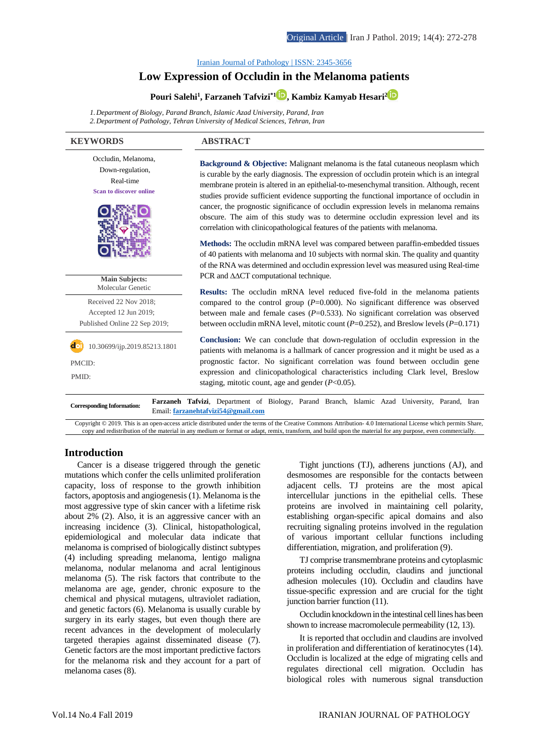Iranian Journal of Pathology | ISSN: [2345-3656](http://ijp.iranpath.org/)

# **Low [Expression](http://ijp.iranpath.org/article_36627.html) of Occludin in the Melanoma patients**

**Pouri Salehi<sup>1</sup> , Farzaneh Tafvizi\*1 [,](https://www.orcid.org/0000-0002-3595-5021) Kambiz Kamyab Hesari[2](https://www.orcid.org/0000-0003-1897-0104)**

*1.Department of Biology, Parand Branch, Islamic Azad University, Parand, Iran 2.Department of Pathology, Tehran University of Medical Sciences, Tehran, Iran*

| <b>KEYWORDS</b>                                                                                       | <b>ABSTRACT</b>                                                                                                                                                                                                                                                                                                                                                                                                                                                                                                                                                                                                                                |  |  |
|-------------------------------------------------------------------------------------------------------|------------------------------------------------------------------------------------------------------------------------------------------------------------------------------------------------------------------------------------------------------------------------------------------------------------------------------------------------------------------------------------------------------------------------------------------------------------------------------------------------------------------------------------------------------------------------------------------------------------------------------------------------|--|--|
| Occludin, Melanoma,<br>Down-regulation,<br>Real-time<br><b>Scan to discover online</b>                | <b>Background &amp; Objective:</b> Malignant melanoma is the fatal cutaneous neoplasm which<br>is curable by the early diagnosis. The expression of occludin protein which is an integral<br>membrane protein is altered in an epithelial-to-mesenchymal transition. Although, recent<br>studies provide sufficient evidence supporting the functional importance of occludin in<br>cancer, the prognostic significance of occludin expression levels in melanoma remains<br>obscure. The aim of this study was to determine occludin expression level and its<br>correlation with clinicopathological features of the patients with melanoma. |  |  |
| <b>Main Subjects:</b>                                                                                 | Methods: The occludin mRNA level was compared between paraffin-embedded tissues<br>of 40 patients with melanoma and 10 subjects with normal skin. The quality and quantity<br>of the RNA was determined and occludin expression level was measured using Real-time<br>PCR and $\triangle \triangle CT$ computational technique.                                                                                                                                                                                                                                                                                                                |  |  |
| Molecular Genetic<br>Received 22 Nov 2018;<br>Accepted 12 Jun 2019;<br>Published Online 22 Sep 2019;  | <b>Results:</b> The occludin mRNA level reduced five-fold in the melanoma patients<br>compared to the control group ( $P=0.000$ ). No significant difference was observed<br>between male and female cases ( $P=0.533$ ). No significant correlation was observed<br>between occludin mRNA level, mitotic count ( $P=0.252$ ), and Breslow levels ( $P=0.171$ )                                                                                                                                                                                                                                                                                |  |  |
| 10.30699/ijp.2019.85213.1801<br>PMCID:<br>PMID:                                                       | <b>Conclusion:</b> We can conclude that down-regulation of occludin expression in the<br>patients with melanoma is a hallmark of cancer progression and it might be used as a<br>prognostic factor. No significant correlation was found between occludin gene<br>expression and clinicopathological characteristics including Clark level, Breslow<br>staging, mitotic count, age and gender $(P<0.05)$ .                                                                                                                                                                                                                                     |  |  |
| <b>Corresponding Information:</b><br>$\cdot$ $\rightarrow$ $\sim$ $\sim$ $\sim$ $\sim$ $\sim$ $\cdot$ | Farzaneh Tafvizi, Department of Biology, Parand Branch, Islamic Azad University, Parand, Iran<br>Email: farzanehtafvizi54@gmail.com<br>1.7.7<br>$\mathbf{A} \cap \mathbf{Y}$                                                                                                                                                                                                                                                                                                                                                                                                                                                                   |  |  |

Copyright © 2019. This is an open-access article distributed under the terms of the Creative Commons Attribution- 4.0 International License which permits Share, copy and redistribution of the material in any medium or format or adapt, remix, transform, and build upon the material for any purpose, even commercially.

## **Introduction**

Cancer is a disease triggered through the genetic mutations which confer the cells unlimited proliferation capacity, loss of response to the growth inhibition factors, apoptosis and angiogenesis(1). Melanoma isthe most aggressive type of skin cancer with a lifetime risk about 2% (2). Also, it is an aggressive cancer with an increasing incidence (3). Clinical, histopathological, epidemiological and molecular data indicate that melanoma is comprised of biologically distinct subtypes (4) including spreading melanoma, lentigo maligna melanoma, nodular melanoma and acral lentiginous melanoma (5). The risk factors that contribute to the melanoma are age, gender, chronic exposure to the chemical and physical mutagens, ultraviolet radiation, and genetic factors (6). Melanoma is usually curable by surgery in its early stages, but even though there are recent advances in the development of molecularly targeted therapies against disseminated disease (7). Genetic factors are the most important predictive factors for the melanoma risk and they account for a part of melanoma cases (8).

Tight junctions (TJ), adherens junctions (AJ), and desmosomes are responsible for the contacts between adjacent cells. TJ proteins are the most apical intercellular junctions in the epithelial cells. These proteins are involved in maintaining cell polarity, establishing organ-specific apical domains and also recruiting signaling proteins involved in the regulation of various important cellular functions including differentiation, migration, and proliferation (9).

TJ comprise transmembrane proteins and cytoplasmic proteins including occludin, claudins and junctional adhesion molecules (10). Occludin and claudins have tissue-specific expression and are crucial for the tight junction barrier function (11).

Occludin knockdown in the intestinal celllines has been shown to increase macromolecule permeability (12, 13).

It is reported that occludin and claudins are involved in proliferation and differentiation of keratinocytes (14). Occludin is localized at the edge of migrating cells and regulates directional cell migration. Occludin has biological roles with numerous signal transduction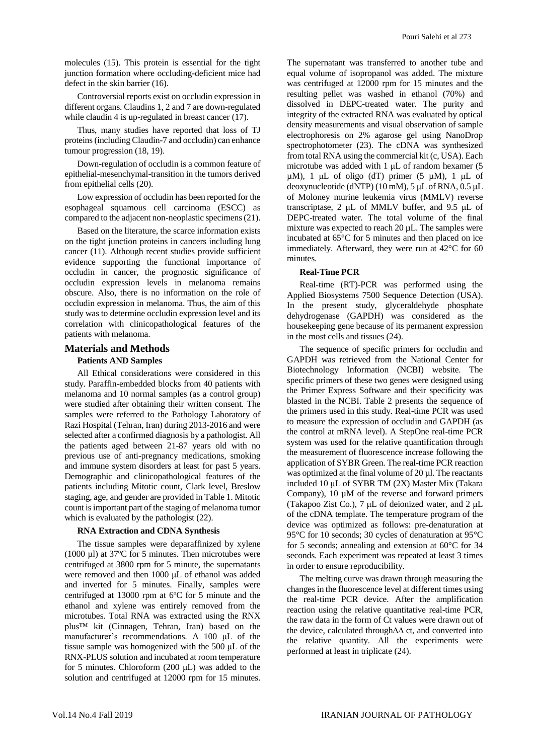molecules (15). This protein is essential for the tight junction formation where occluding-deficient mice had defect in the skin barrier (16).

Controversial reports exist on occludin expression in different organs. Claudins 1, 2 and 7 are down-regulated while claudin 4 is up-regulated in breast cancer (17).

Thus, many studies have reported that loss of TJ proteins(including Claudin-7 and occludin) can enhance tumour progression (18, 19).

Down-regulation of occludin is a common feature of epithelial-mesenchymal-transition in the tumors derived from epithelial cells (20).

Low expression of occludin has been reported for the esophageal squamous cell carcinoma (ESCC) as compared to the adjacent non-neoplastic specimens(21).

Based on the literature, the scarce information exists on the tight junction proteins in cancers including lung cancer (11). Although recent studies provide sufficient evidence supporting the functional importance of occludin in cancer, the prognostic significance of occludin expression levels in melanoma remains obscure. Also, there is no information on the role of occludin expression in melanoma. Thus, the aim of this study was to determine occludin expression level and its correlation with clinicopathological features of the patients with melanoma.

## **Materials and Methods**

## **Patients AND Samples**

All Ethical considerations were considered in this study. Paraffin-embedded blocks from 40 patients with melanoma and 10 normal samples (as a control group) were studied after obtaining their written consent. The samples were referred to the Pathology Laboratory of Razi Hospital (Tehran, Iran) during 2013-2016 and were selected after a confirmed diagnosis by a pathologist. All the patients aged between 21-87 years old with no previous use of anti-pregnancy medications, smoking and immune system disorders at least for past 5 years. Demographic and clinicopathological features of the patients including Mitotic count, Clark level, Breslow staging, age, and gender are provided in Table 1. Mitotic count isimportant part of the staging of melanoma tumor which is evaluated by the pathologist (22).

#### **RNA Extraction and CDNA Synthesis**

The tissue samples were deparaffinized by xylene (1000 µl) at 37ºC for 5 minutes. Then microtubes were centrifuged at 3800 rpm for 5 minute, the supernatants were removed and then 1000 μL of ethanol was added and inverted for 5 minutes. Finally, samples were centrifuged at 13000 rpm at 6ºC for 5 minute and the ethanol and xylene was entirely removed from the microtubes. Total RNA was extracted using the RNX plus™ kit (Cinnagen, Tehran, Iran) based on the manufacturer's recommendations. A 100 μL of the tissue sample was homogenized with the 500 μL of the RNX-PLUS solution and incubated at room temperature for 5 minutes. Chloroform (200 μL) was added to the solution and centrifuged at 12000 rpm for 15 minutes.

The supernatant was transferred to another tube and equal volume of isopropanol was added. The mixture was centrifuged at 12000 rpm for 15 minutes and the resulting pellet was washed in ethanol (70%) and dissolved in DEPC-treated water. The purity and integrity of the extracted RNA was evaluated by optical density measurements and visual observation of sample electrophoresis on 2% agarose gel using NanoDrop spectrophotometer (23). The cDNA was synthesized from total RNA using the commercial kit (c, USA). Each microtube was added with 1 μL of random hexamer (5  $\mu$ M), 1  $\mu$ L of oligo (dT) primer (5  $\mu$ M), 1  $\mu$ L of deoxynucleotide (dNTP) (10 mM), 5 μL of RNA, 0.5 μL of Moloney murine leukemia virus (MMLV) reverse transcriptase, 2 μL of MMLV buffer, and 9.5 μL of DEPC-treated water. The total volume of the final mixture was expected to reach 20 µL. The samples were incubated at 65°C for 5 minutes and then placed on ice immediately. Afterward, they were run at 42°C for 60 minutes.

## **Real-Time PCR**

Real-time (RT)-PCR was performed using the Applied Biosystems 7500 Sequence Detection (USA). In the present study, glyceraldehyde phosphate dehydrogenase (GAPDH) was considered as the housekeeping gene because of its permanent expression in the most cells and tissues (24).

The sequence of specific primers for occludin and GAPDH was retrieved from the National Center for Biotechnology Information (NCBI) website. The specific primers of these two genes were designed using the Primer Express Software and their specificity was blasted in the NCBI. Table 2 presents the sequence of the primers used in this study. Real-time PCR was used to measure the expression of occludin and GAPDH (as the control at mRNA level). A StepOne real-time PCR system was used for the relative quantification through the measurement of fluorescence increase following the application of SYBR Green. The real-time PCR reaction was optimized at the final volume of 20 µl. The reactants included 10 μL of SYBR TM (2X) Master Mix (Takara Company), 10 µM of the reverse and forward primers (Takapoo Zist Co.), 7 μL of deionized water, and 2 μL of the cDNA template. The temperature program of the device was optimized as follows: pre-denaturation at 95°C for 10 seconds; 30 cycles of denaturation at 95°C for 5 seconds; annealing and extension at 60°C for 34 seconds. Each experiment was repeated at least 3 times in order to ensure reproducibility.

The melting curve was drawn through measuring the changes in the fluorescence level at different times using the real-time PCR device. After the amplification reaction using the relative quantitative real-time PCR, the raw data in the form of Ct values were drawn out of the device, calculated through∆∆ ct, and converted into the relative quantity. All the experiments were performed at least in triplicate (24).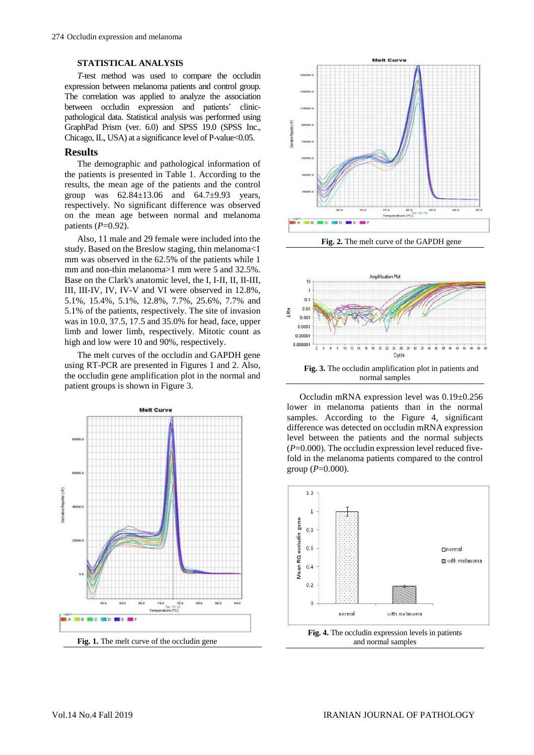#### **STATISTICAL ANALYSIS**

*T*-test method was used to compare the occludin expression between melanoma patients and control group. The correlation was applied to analyze the association between occludin expression and patients' clinicpathological data. Statistical analysis was performed using GraphPad Prism (ver. 6.0) and SPSS 19.0 (SPSS Inc., Chicago, IL, USA) at a significance level of P-value $<0.05$ .

#### **Results**

The demographic and pathological information of the patients is presented in Table 1. According to the results, the mean age of the patients and the control group was  $62.84 \pm 13.06$  and  $64.7 \pm 9.93$  years, respectively. No significant difference was observed on the mean age between normal and melanoma patients (*P*=0.92).

Also, 11 male and 29 female were included into the study. Based on the Breslow staging, thin melanoma<1 mm was observed in the 62.5% of the patients while 1 mm and non-thin melanoma>1 mm were 5 and 32.5%. Base on the Clark's anatomic level, the I, I-II, II, II-III, III, III-IV, IV, IV-V and VI were observed in 12.8%, 5.1%, 15.4%, 5.1%, 12.8%, 7.7%, 25.6%, 7.7% and 5.1% of the patients, respectively. The site of invasion was in 10.0, 37.5, 17.5 and 35.0% for head, face, upper limb and lower limb, respectively. Mitotic count as high and low were 10 and 90%, respectively.

The melt curves of the occludin and GAPDH gene using RT-PCR are presented in Figures 1 and 2. Also, the occludin gene amplification plot in the normal and patient groups is shown in Figure 3.





**Fig. 2.** The melt curve of the GAPDH gene



Occludin mRNA expression level was 0.19±0.256 lower in melanoma patients than in the normal samples. According to the Figure 4, significant difference was detected on occludin mRNA expression level between the patients and the normal subjects  $(P=0.000)$ . The occludin expression level reduced fivefold in the melanoma patients compared to the control group (*P*=0.000).

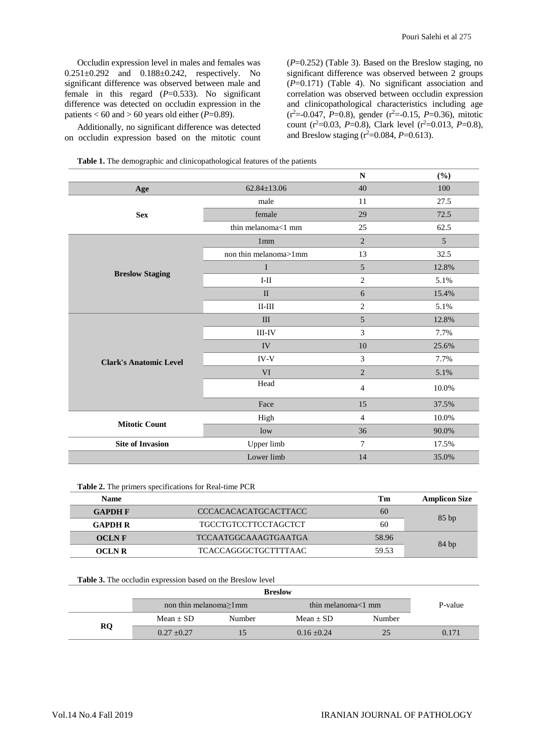Occludin expression level in males and females was 0.251±0.292 and 0.188±0.242, respectively. No significant difference was observed between male and female in this regard  $(P=0.533)$ . No significant difference was detected on occludin expression in the patients  $<$  60 and  $>$  60 years old either ( $\vec{P}$ =0.89).

Additionally, no significant difference was detected on occludin expression based on the mitotic count

(*P*=0.252) (Table 3). Based on the Breslow staging, no significant difference was observed between 2 groups (*P*=0.171) (Table 4). No significant association and correlation was observed between occludin expression and clinicopathological characteristics including age (r<sup>2</sup>=-0.047, *P*=0.8), gender (r<sup>2</sup>=-0.15, *P*=0.36), mitotic count  $(r^2=0.03, P=0.8)$ , Clark level  $(r^2=0.013, P=0.8)$ , and Breslow staging  $(r^2=0.084, P=0.613)$ .

|  |  | <b>Table 1.</b> The demographic and clinicopathological features of the patients |  |
|--|--|----------------------------------------------------------------------------------|--|
|  |  |                                                                                  |  |

|                               |                       | ${\bf N}$        | (%)   |
|-------------------------------|-----------------------|------------------|-------|
| Age                           | $62.84 \pm 13.06$     | 40               | 100   |
|                               | male                  | 11               | 27.5  |
| <b>Sex</b>                    | female                | 29               | 72.5  |
|                               | thin melanoma<1 mm    | 25               | 62.5  |
|                               | 1 <sub>mm</sub>       | $\overline{2}$   | 5     |
|                               | non thin melanoma>1mm | 13               | 32.5  |
|                               | $\bf I$               | $\sqrt{5}$       | 12.8% |
| <b>Breslow Staging</b>        | $I-II$                | $\sqrt{2}$       | 5.1%  |
|                               | $\mathbf{I}$          | 6                | 15.4% |
|                               | $II-III$              | $\overline{2}$   | 5.1%  |
|                               | III                   | 5                | 12.8% |
|                               | $\rm III\text{-}IV$   | $\mathfrak{Z}$   | 7.7%  |
|                               | IV                    | 10               | 25.6% |
| <b>Clark's Anatomic Level</b> | IV-V                  | $\mathfrak 3$    | 7.7%  |
|                               | <b>VI</b>             | $\overline{2}$   | 5.1%  |
|                               | Head                  | $\overline{4}$   | 10.0% |
|                               | Face                  | 15               | 37.5% |
| <b>Mitotic Count</b>          | High                  | $\overline{4}$   | 10.0% |
|                               | low                   | 36               | 90.0% |
| <b>Site of Invasion</b>       | Upper limb            | $\boldsymbol{7}$ | 17.5% |
|                               | Lower limb            | 14               | 35.0% |

**Table 2.** The primers specifications for Real-time PCR

| <b>Name</b>    |                             | Tm    | <b>Amplicon Size</b> |  |
|----------------|-----------------------------|-------|----------------------|--|
| <b>GAPDH F</b> | CCCACACACATGCACTTACC        | 60    |                      |  |
| <b>GAPDH R</b> | <b>TGCCTGTCCTTCCTAGCTCT</b> | 60    | 85bp                 |  |
| <b>OCLNF</b>   | TCCAATGGCAAAGTGAATGA        | 58.96 |                      |  |
| <b>OCLN R</b>  | TCACCAGGGCTGCTTTTAAC        | 59.53 | 84bp                 |  |

#### **Table 3.** The occludin expression based on the Breslow level

|    | <b>Breslow</b>                |        |                        |        |         |
|----|-------------------------------|--------|------------------------|--------|---------|
|    | non thin melanoma $\geq 1$ mm |        | thin melanoma $<$ 1 mm |        | P-value |
|    | $Mean + SD$                   | Number | Mean $\pm$ SD          | Number |         |
| RQ | $0.27 + 0.27$                 |        | $0.16 + 0.24$          |        | 0.171   |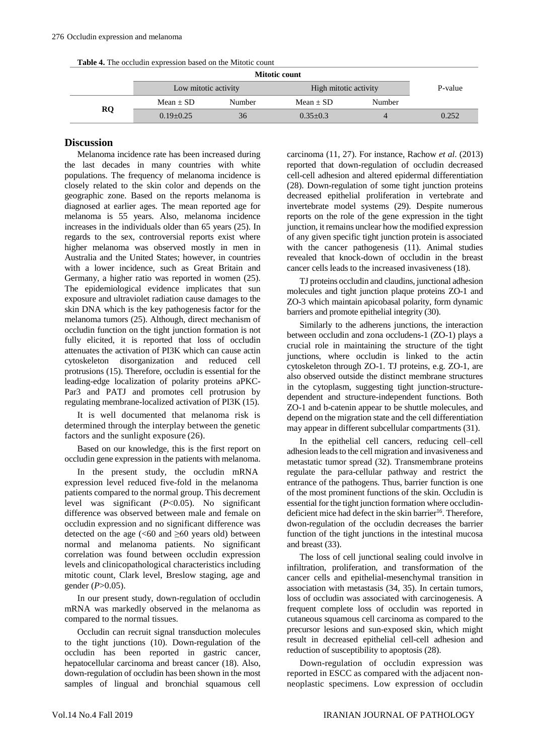**Table 4.** The occludin expression based on the Mitotic count

|           | Mitotic count        |        |                       |        |         |
|-----------|----------------------|--------|-----------------------|--------|---------|
|           | Low mitotic activity |        | High mitotic activity |        | P-value |
| <b>RQ</b> | $Mean + SD$          | Number | $Mean + SD$           | Number |         |
|           | $0.19 + 0.25$        | 36     | $0.35+0.3$            |        | 0.252   |
|           |                      |        |                       |        |         |

## **Discussion**

Melanoma incidence rate has been increased during the last decades in many countries with white populations. The frequency of melanoma incidence is closely related to the skin color and depends on the geographic zone. Based on the reports melanoma is diagnosed at earlier ages. The mean reported age for melanoma is 55 years. Also, melanoma incidence increases in the individuals older than 65 years (25). In regards to the sex, controversial reports exist where higher melanoma was observed mostly in men in Australia and the United States; however, in countries with a lower incidence, such as Great Britain and Germany, a higher ratio was reported in women (25). The epidemiological evidence implicates that sun exposure and ultraviolet radiation cause damages to the skin DNA which is the key pathogenesis factor for the melanoma tumors (25). Although, direct mechanism of occludin function on the tight junction formation is not fully elicited, it is reported that loss of occludin attenuates the activation of PI3K which can cause actin cytoskeleton disorganization and reduced cell protrusions (15). Therefore, occludin is essential for the leading-edge localization of polarity proteins aPKC-Par3 and PATJ and promotes cell protrusion by regulating membrane-localized activation of PI3K (15).

It is well documented that melanoma risk is determined through the interplay between the genetic factors and the sunlight exposure (26).

Based on our knowledge, this is the first report on occludin gene expression in the patients with melanoma.

In the present study, the occludin mRNA expression level reduced five-fold in the melanoma patients compared to the normal group. This decrement level was significant (*P*˂0.05). No significant difference was observed between male and female on occludin expression and no significant difference was detected on the age  $(< 60$  and  $\geq 60$  years old) between normal and melanoma patients. No significant correlation was found between occludin expression levels and clinicopathological characteristics including mitotic count, Clark level, Breslow staging, age and gender (*P*>0.05).

In our present study, down-regulation of occludin mRNA was markedly observed in the melanoma as compared to the normal tissues.

Occludin can recruit signal transduction molecules to the tight junctions (10). Down-regulation of the occludin has been reported in gastric cancer, hepatocellular carcinoma and breast cancer (18). Also, down-regulation of occludin has been shown in the most samples of lingual and bronchial squamous cell

carcinoma (11, 27). For instance, Rachow *et al*. (2013) reported that down-regulation of occludin decreased cell-cell adhesion and altered epidermal differentiation (28). Down-regulation of some tight junction proteins decreased epithelial proliferation in vertebrate and invertebrate model systems (29). Despite numerous reports on the role of the gene expression in the tight junction, it remains unclear how the modified expression of any given specific tight junction protein is associated with the cancer pathogenesis (11). Animal studies revealed that knock-down of occludin in the breast cancer cells leads to the increased invasiveness (18).

TJ proteins occludin and claudins, junctional adhesion molecules and tight junction plaque proteins ZO-1 and ZO-3 which maintain apicobasal polarity, form dynamic barriers and promote epithelial integrity (30).

Similarly to the adherens junctions, the interaction between occludin and zona occludens-1 (ZO-1) plays a crucial role in maintaining the structure of the tight junctions, where occludin is linked to the actin cytoskeleton through ZO-1. TJ proteins, e.g. ZO-1, are also observed outside the distinct membrane structures in the cytoplasm, suggesting tight junction-structuredependent and structure-independent functions. Both ZO-1 and b-catenin appear to be shuttle molecules, and depend on the migration state and the cell differentiation may appear in different subcellular compartments (31).

In the epithelial cell cancers, reducing cell–cell adhesion leads to the cell migration and invasiveness and metastatic tumor spread (32). Transmembrane proteins regulate the para-cellular pathway and restrict the entrance of the pathogens. Thus, barrier function is one of the most prominent functions of the skin. Occludin is essential for the tight junction formation where occludindeficient mice had defect in the skin barrier<sup>16</sup>. Therefore, dwon-regulation of the occludin decreases the barrier function of the tight junctions in the intestinal mucosa and breast (33).

The loss of cell junctional sealing could involve in infiltration, proliferation, and transformation of the cancer cells and epithelial-mesenchymal transition in association with metastasis (34, 35). In certain tumors, loss of occludin was associated with carcinogenesis. A frequent complete loss of occludin was reported in cutaneous squamous cell carcinoma as compared to the precursor lesions and sun-exposed skin, which might result in decreased epithelial cell-cell adhesion and reduction of susceptibility to apoptosis (28).

Down-regulation of occludin expression was reported in ESCC as compared with the adjacent nonneoplastic specimens. Low expression of occludin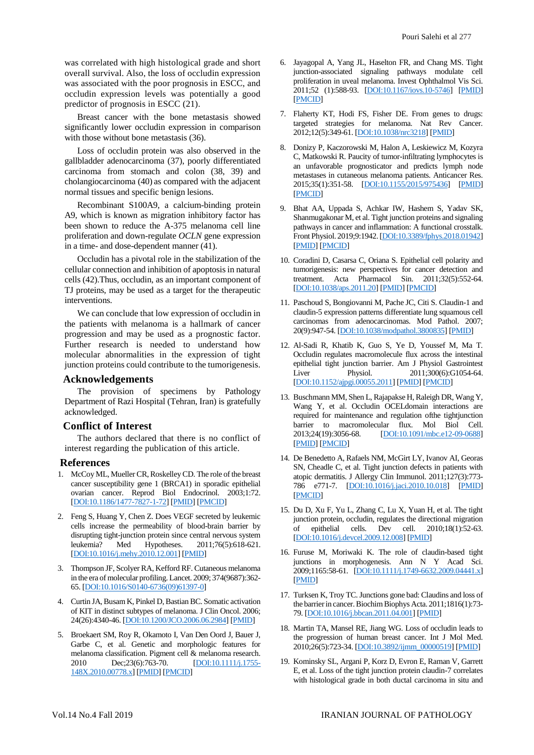was correlated with high histological grade and short overall survival. Also, the loss of occludin expression was associated with the poor prognosis in ESCC, and occludin expression levels was potentially a good predictor of prognosis in ESCC (21).

Breast cancer with the bone metastasis showed significantly lower occludin expression in comparison with those without bone metastasis (36).

Loss of occludin protein was also observed in the gallbladder adenocarcinoma (37), poorly differentiated carcinoma from stomach and colon (38, 39) and cholangiocarcinoma (40) as compared with the adjacent normal tissues and specific benign lesions.

Recombinant S100A9, a calcium-binding protein A9, which is known as migration inhibitory factor has been shown to reduce the A-375 melanoma cell line proliferation and down-regulate *OCLN* gene expression in a time- and dose-dependent manner (41).

Occludin has a pivotal role in the stabilization of the cellular connection and inhibition of apoptosis in natural cells (42).Thus, occludin, as an important component of TJ proteins, may be used as a target for the therapeutic interventions.

We can conclude that low expression of occludin in the patients with melanoma is a hallmark of cancer progression and may be used as a prognostic factor. Further research is needed to understand how molecular abnormalities in the expression of tight junction proteins could contribute to the tumorigenesis.

#### **Acknowledgements**

The provision of specimens by Pathology Department of Razi Hospital (Tehran, Iran) is gratefully acknowledged.

## **Conflict of Interest**

The authors declared that there is no conflict of interest regarding the publication of this article.

## **References**

- 1. McCoy ML, Mueller CR, Roskelley CD. The role of the breast cancer susceptibility gene 1 (BRCA1) in sporadic epithelial ovarian cancer. Reprod Biol Endocrinol. 2003;1:72. [\[DOI:10.1186/1477-7827-1-72\]](https://doi.org/10.1186/1477-7827-1-72) [\[PMID\]](https://www.ncbi.nlm.nih.gov/pubmed/14613551) [\[PMCID\]](http://www.ncbi.nlm.nih.gov/pmc/articles/PMC270004)
- 2. Feng S, Huang Y, Chen Z. Does VEGF secreted by leukemic cells increase the permeability of blood-brain barrier by disrupting tight-junction protein since central nervous system leukemia? Med Hypotheses. 2011;76(5):618-621. [\[DOI:10.1016/j.mehy.2010.12.001\]](https://doi.org/10.1016/j.mehy.2010.12.001) [\[PMID\]](https://www.ncbi.nlm.nih.gov/pubmed/21398042)
- 3. Thompson JF, Scolyer RA, Kefford RF. Cutaneous melanoma in the era of molecular profiling. Lancet. 2009; 374(9687):362- 65. [\[DOI:10.1016/S0140-6736\(09\)61397-0\]](https://doi.org/10.1016/S0140-6736(09)61397-0)
- 4. Curtin JA, Busam K, Pinkel D, Bastian BC. Somatic activation of KIT in distinct subtypes of melanoma. J Clin Oncol. 2006; 24(26):4340-46. [\[DOI:10.1200/JCO.2006.06.2984\]](https://doi.org/10.1200/JCO.2006.06.2984) [\[PMID\]](https://www.ncbi.nlm.nih.gov/pubmed/16908931)
- 5. Broekaert SM, Roy R, Okamoto I, Van Den Oord J, Bauer J, Garbe C, et al. Genetic and morphologic features for melanoma classification. Pigment cell & melanoma research. 2010 Dec; 23(6): 763-70. **[\[DOI:10.1111/j.1755-](https://doi.org/10.1111/j.1755-148X.2010.00778.x)** [148X.2010.00778.x\]](https://doi.org/10.1111/j.1755-148X.2010.00778.x) [\[PMID\]](https://www.ncbi.nlm.nih.gov/pubmed/20874733) [\[PMCID\]](http://www.ncbi.nlm.nih.gov/pmc/articles/PMC3107973)
- 6. Jayagopal A, Yang JL, Haselton FR, and Chang MS. Tight junction-associated signaling pathways modulate cell proliferation in uveal melanoma. Invest Ophthalmol Vis Sci. 2011;52 (1):588-93. [\[DOI:10.1167/iovs.10-5746\]](https://doi.org/10.1167/iovs.10-5746) [\[PMID\]](https://www.ncbi.nlm.nih.gov/pubmed/20861479) [\[PMCID\]](http://www.ncbi.nlm.nih.gov/pmc/articles/PMC3053300)
- 7. Flaherty KT, Hodi FS, Fisher DE. From genes to drugs: targeted strategies for melanoma. Nat Rev Cancer. 2012;12(5):349-61. [\[DOI:10.1038/nrc3218\]](https://doi.org/10.1038/nrc3218) [\[PMID\]](https://www.ncbi.nlm.nih.gov/pubmed/22475929)
- 8. Donizy P, Kaczorowski M, Halon A, Leskiewicz M, Kozyra C, Matkowski R. Paucity of tumor-infiltrating lymphocytes is an unfavorable prognosticator and predicts lymph node metastases in cutaneous melanoma patients. Anticancer Res. 2015;35(1):351-58. [\[DOI:10.1155/2015/975436\]](https://doi.org/10.1155/2015/975436) [\[PMID\]](https://www.ncbi.nlm.nih.gov/pubmed/26266086) [\[PMCID\]](http://www.ncbi.nlm.nih.gov/pmc/articles/PMC4525148)
- 9. Bhat AA, Uppada S, Achkar IW, Hashem S, Yadav SK, Shanmugakonar M, et al. Tight junction proteins and signaling pathways in cancer and inflammation: A functional crosstalk. Front Physiol. 2019;9:1942. [\[DOI:10.3389/fphys.2018.01942\]](https://doi.org/10.3389/fphys.2018.01942) [\[PMID\]](https://www.ncbi.nlm.nih.gov/pubmed/30728783) [\[PMCID\]](http://www.ncbi.nlm.nih.gov/pmc/articles/PMC6351700)
- 10. Coradini D, Casarsa C, Oriana S. Epithelial cell polarity and tumorigenesis: new perspectives for cancer detection and treatment. Acta Pharmacol Sin. 2011;32(5):552-64. [\[DOI:10.1038/aps.2011.20\]](https://doi.org/10.1038/aps.2011.20) [\[PMID\]](https://www.ncbi.nlm.nih.gov/pubmed/21499288) [\[PMCID\]](http://www.ncbi.nlm.nih.gov/pmc/articles/PMC4002515)
- 11. Paschoud S, Bongiovanni M, Pache JC, Citi S. Claudin-1 and claudin-5 expression patterns differentiate lung squamous cell carcinomas from adenocarcinomas. Mod Pathol. 2007; 20(9):947-54. [\[DOI:10.1038/modpathol.3800835\]](https://doi.org/10.1038/modpathol.3800835) [\[PMID\]](https://www.ncbi.nlm.nih.gov/pubmed/17585317)
- 12. Al-Sadi R, Khatib K, Guo S, Ye D, Youssef M, Ma T. Occludin regulates macromolecule flux across the intestinal epithelial tight junction barrier. Am J Physiol Gastrointest Liver Physiol. 2011;300(6):G1054-64. [\[DOI:10.1152/ajpgi.00055.2011\]](https://doi.org/10.1152/ajpgi.00055.2011) [\[PMID\]](https://www.ncbi.nlm.nih.gov/pubmed/21415414) [\[PMCID\]](http://www.ncbi.nlm.nih.gov/pmc/articles/PMC3119114)
- 13. Buschmann MM, Shen L, Rajapakse H, Raleigh DR, Wang Y, Wang Y, et al. Occludin OCELdomain interactions are required for maintenance and regulation ofthe tightjunction barrier to macromolecular flux. Mol Biol Cell. 2013;24(19):3056-68. [\[DOI:10.1091/mbc.e12-09-0688\]](https://doi.org/10.1091/mbc.e12-09-0688) [\[PMID\]](https://www.ncbi.nlm.nih.gov/pubmed/23924897) [\[PMCID\]](http://www.ncbi.nlm.nih.gov/pmc/articles/PMC3784380)
- 14. De Benedetto A, Rafaels NM, McGirt LY, Ivanov AI, Georas SN, Cheadle C, et al. Tight junction defects in patients with atopic dermatitis. J Allergy Clin Immunol. 2011;127(3):773- 786 e771-7. [\[DOI:10.1016/j.jaci.2010.10.018\]](https://doi.org/10.1016/j.jaci.2010.10.018) [\[PMID\]](https://www.ncbi.nlm.nih.gov/pubmed/21163515) [\[PMCID\]](http://www.ncbi.nlm.nih.gov/pmc/articles/PMC3049863)
- 15. Du D, Xu F, Yu L, Zhang C, Lu X, Yuan H, et al. The tight junction protein, occludin, regulates the directional migration of epithelial cells. Dev cell. 2010;18(1):52-63. [\[DOI:10.1016/j.devcel.2009.12.008\]](https://doi.org/10.1016/j.devcel.2009.12.008) [\[PMID\]](https://www.ncbi.nlm.nih.gov/pubmed/20152177)
- 16. Furuse M, Moriwaki K. The role of claudin-based tight junctions in morphogenesis. Ann N Y Acad Sci. 2009;1165:58-61. [\[DOI:10.1111/j.1749-6632.2009.04441.x\]](https://doi.org/10.1111/j.1749-6632.2009.04441.x) [\[PMID\]](https://www.ncbi.nlm.nih.gov/pubmed/19538288)
- 17. Turksen K, Troy TC. Junctions gone bad: Claudins and loss of the barrier in cancer. Biochim Biophys Acta. 2011;1816(1):73- 79. [\[DOI:10.1016/j.bbcan.2011.04.001\]](https://doi.org/10.1016/j.bbcan.2011.04.001) [\[PMID\]](https://www.ncbi.nlm.nih.gov/pubmed/21515339)
- 18. Martin TA, Mansel RE, Jiang WG. Loss of occludin leads to the progression of human breast cancer. Int J Mol Med. 2010;26(5):723-34. [\[DOI:10.3892/ijmm\\_00000519\]](https://doi.org/10.3892/ijmm_00000519) [\[PMID\]](https://www.ncbi.nlm.nih.gov/pubmed/20878095)
- 19. Kominsky SL, Argani P, Korz D, Evron E, Raman V, Garrett E, et al. Loss of the tight junction protein claudin-7 correlates with histological grade in both ductal carcinoma in situ and